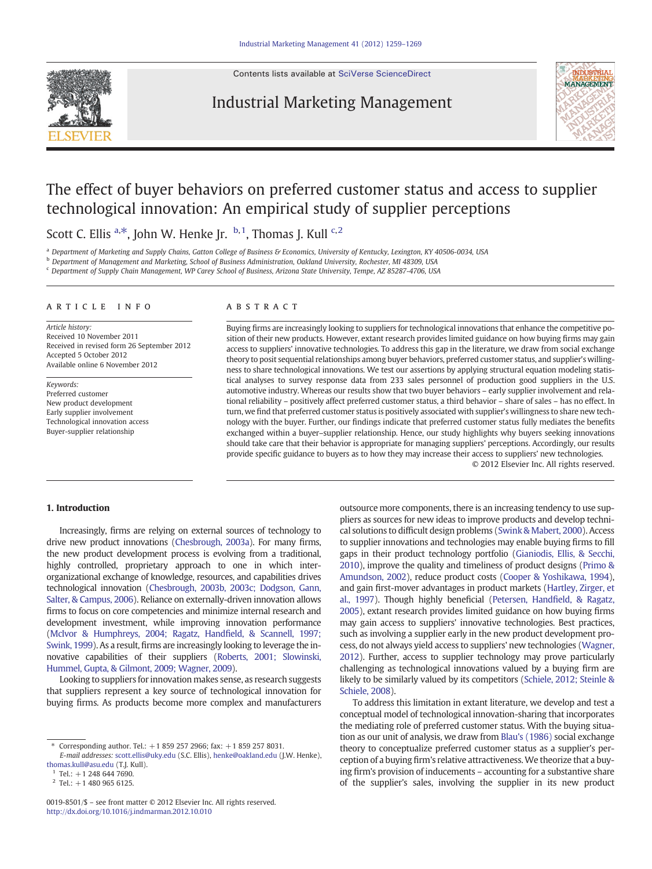Contents lists available at [SciVerse ScienceDirect](http://www.sciencedirect.com/science/journal/00198501)

## Industrial Marketing Management



## The effect of buyer behaviors on preferred customer status and access to supplier technological innovation: An empirical study of supplier perceptions

Scott C. Ellis <sup>a,\*</sup>, John W. Henke Jr. <sup>b,1</sup>, Thomas J. Kull <sup>c,2</sup>

a Department of Marketing and Supply Chains, Gatton College of Business & Economics, University of Kentucky, Lexington, KY 40506-0034, USA

<sup>b</sup> Department of Management and Marketing, School of Business Administration, Oakland University, Rochester, MI 48309, USA

<sup>c</sup> Department of Supply Chain Management, WP Carey School of Business, Arizona State University, Tempe, AZ 85287-4706, USA

#### ARTICLE INFO ABSTRACT

Article history: Received 10 November 2011 Received in revised form 26 September 2012 Accepted 5 October 2012 Available online 6 November 2012

Keywords: Preferred customer New product development Early supplier involvement Technological innovation access Buyer-supplier relationship

Buying firms are increasingly looking to suppliers for technological innovations that enhance the competitive position of their new products. However, extant research provides limited guidance on how buying firms may gain access to suppliers' innovative technologies. To address this gap in the literature, we draw from social exchange theory to posit sequential relationships among buyer behaviors, preferred customer status, and supplier's willingness to share technological innovations. We test our assertions by applying structural equation modeling statistical analyses to survey response data from 233 sales personnel of production good suppliers in the U.S. automotive industry. Whereas our results show that two buyer behaviors – early supplier involvement and relational reliability – positively affect preferred customer status, a third behavior – share of sales – has no effect. In turn, we find that preferred customer status is positively associated with supplier's willingness to share new technology with the buyer. Further, our findings indicate that preferred customer status fully mediates the benefits exchanged within a buyer–supplier relationship. Hence, our study highlights why buyers seeking innovations should take care that their behavior is appropriate for managing suppliers' perceptions. Accordingly, our results provide specific guidance to buyers as to how they may increase their access to suppliers' new technologies.

© 2012 Elsevier Inc. All rights reserved.

### 1. Introduction

Increasingly, firms are relying on external sources of technology to drive new product innovations [\(Chesbrough, 2003a\)](#page--1-0). For many firms, the new product development process is evolving from a traditional, highly controlled, proprietary approach to one in which interorganizational exchange of knowledge, resources, and capabilities drives technological innovation [\(Chesbrough, 2003b, 2003c; Dodgson, Gann,](#page--1-0) [Salter, & Campus, 2006\)](#page--1-0). Reliance on externally-driven innovation allows firms to focus on core competencies and minimize internal research and development investment, while improving innovation performance [\(McIvor & Humphreys, 2004; Ragatz, Hand](#page--1-0)field, & Scannell, 1997; [Swink, 1999\)](#page--1-0). As a result, firms are increasingly looking to leverage the innovative capabilities of their suppliers ([Roberts, 2001; Slowinski,](#page--1-0) [Hummel, Gupta, & Gilmont, 2009; Wagner, 2009\)](#page--1-0).

Looking to suppliers for innovation makes sense, as research suggests that suppliers represent a key source of technological innovation for buying firms. As products become more complex and manufacturers outsource more components, there is an increasing tendency to use suppliers as sources for new ideas to improve products and develop technical solutions to difficult design problems [\(Swink & Mabert, 2000\)](#page--1-0). Access to supplier innovations and technologies may enable buying firms to fill gaps in their product technology portfolio [\(Gianiodis, Ellis, & Secchi,](#page--1-0) [2010](#page--1-0)), improve the quality and timeliness of product designs ([Primo &](#page--1-0) [Amundson, 2002](#page--1-0)), reduce product costs [\(Cooper & Yoshikawa, 1994](#page--1-0)), and gain first-mover advantages in product markets [\(Hartley, Zirger, et](#page--1-0) [al., 1997\)](#page--1-0). Though highly beneficial [\(Petersen, Hand](#page--1-0)field, & Ragatz, [2005](#page--1-0)), extant research provides limited guidance on how buying firms may gain access to suppliers' innovative technologies. Best practices, such as involving a supplier early in the new product development process, do not always yield access to suppliers' new technologies ([Wagner,](#page--1-0) [2012](#page--1-0)). Further, access to supplier technology may prove particularly challenging as technological innovations valued by a buying firm are likely to be similarly valued by its competitors [\(Schiele, 2012; Steinle &](#page--1-0) [Schiele, 2008\)](#page--1-0).

To address this limitation in extant literature, we develop and test a conceptual model of technological innovation-sharing that incorporates the mediating role of preferred customer status. With the buying situation as our unit of analysis, we draw from [Blau's \(1986\)](#page--1-0) social exchange theory to conceptualize preferred customer status as a supplier's perception of a buying firm's relative attractiveness. We theorize that a buying firm's provision of inducements – accounting for a substantive share of the supplier's sales, involving the supplier in its new product

<sup>⁎</sup> Corresponding author. Tel.: +1 859 257 2966; fax: +1 859 257 8031.

E-mail addresses: [scott.ellis@uky.edu](mailto:scott.ellis@uky.edu) (S.C. Ellis), [henke@oakland.edu](mailto:henke@oakland.edu) (J.W. Henke), [thomas.kull@asu.edu](mailto:thomas.kull@asu.edu) (T.J. Kull).

 $Tel.: +1 248 644 7690.$ 

 $2$  Tel.: +1 480 965 6125.

<sup>0019-8501/\$</sup> – see front matter © 2012 Elsevier Inc. All rights reserved. <http://dx.doi.org/10.1016/j.indmarman.2012.10.010>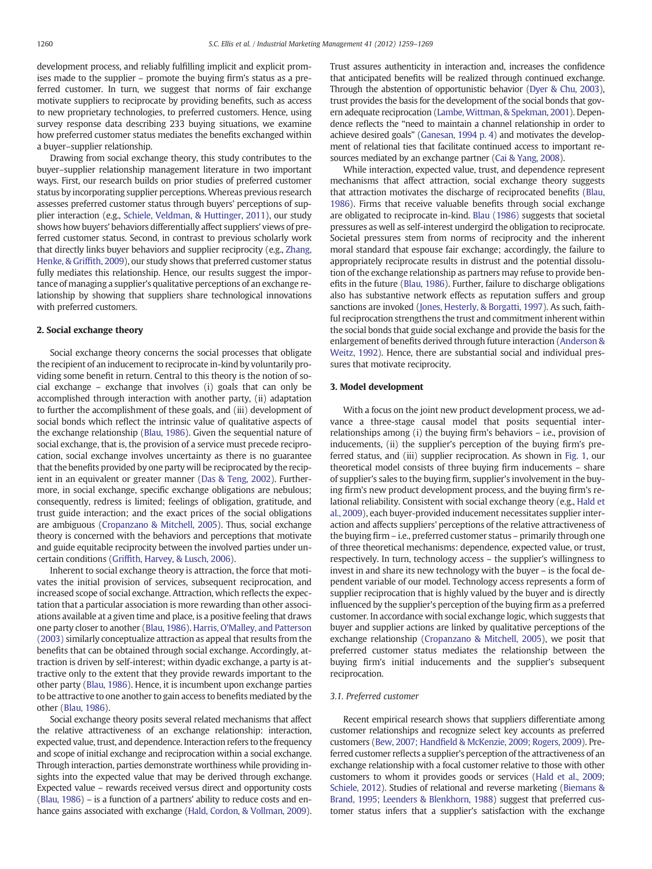development process, and reliably fulfilling implicit and explicit promises made to the supplier – promote the buying firm's status as a preferred customer. In turn, we suggest that norms of fair exchange motivate suppliers to reciprocate by providing benefits, such as access to new proprietary technologies, to preferred customers. Hence, using survey response data describing 233 buying situations, we examine how preferred customer status mediates the benefits exchanged within a buyer–supplier relationship.

Drawing from social exchange theory, this study contributes to the buyer–supplier relationship management literature in two important ways. First, our research builds on prior studies of preferred customer status by incorporating supplier perceptions. Whereas previous research assesses preferred customer status through buyers' perceptions of supplier interaction (e.g., [Schiele, Veldman, & Huttinger, 2011\)](#page--1-0), our study shows how buyers' behaviors differentially affect suppliers' views of preferred customer status. Second, in contrast to previous scholarly work that directly links buyer behaviors and supplier reciprocity (e.g., [Zhang,](#page--1-0) [Henke, & Grif](#page--1-0)fith, 2009), our study shows that preferred customer status fully mediates this relationship. Hence, our results suggest the importance of managing a supplier's qualitative perceptions of an exchange relationship by showing that suppliers share technological innovations with preferred customers.

### 2. Social exchange theory

Social exchange theory concerns the social processes that obligate the recipient of an inducement to reciprocate in-kind by voluntarily providing some benefit in return. Central to this theory is the notion of social exchange – exchange that involves (i) goals that can only be accomplished through interaction with another party, (ii) adaptation to further the accomplishment of these goals, and (iii) development of social bonds which reflect the intrinsic value of qualitative aspects of the exchange relationship ([Blau, 1986\)](#page--1-0). Given the sequential nature of social exchange, that is, the provision of a service must precede reciprocation, social exchange involves uncertainty as there is no guarantee that the benefits provided by one party will be reciprocated by the recipient in an equivalent or greater manner [\(Das & Teng, 2002](#page--1-0)). Furthermore, in social exchange, specific exchange obligations are nebulous; consequently, redress is limited; feelings of obligation, gratitude, and trust guide interaction; and the exact prices of the social obligations are ambiguous [\(Cropanzano & Mitchell, 2005\)](#page--1-0). Thus, social exchange theory is concerned with the behaviors and perceptions that motivate and guide equitable reciprocity between the involved parties under uncertain conditions (Griffi[th, Harvey, & Lusch, 2006](#page--1-0)).

Inherent to social exchange theory is attraction, the force that motivates the initial provision of services, subsequent reciprocation, and increased scope of social exchange. Attraction, which reflects the expectation that a particular association is more rewarding than other associations available at a given time and place, is a positive feeling that draws one party closer to another [\(Blau, 1986\)](#page--1-0). [Harris, O'Malley, and Patterson](#page--1-0) [\(2003\)](#page--1-0) similarly conceptualize attraction as appeal that results from the benefits that can be obtained through social exchange. Accordingly, attraction is driven by self-interest; within dyadic exchange, a party is attractive only to the extent that they provide rewards important to the other party [\(Blau, 1986](#page--1-0)). Hence, it is incumbent upon exchange parties to be attractive to one another to gain access to benefits mediated by the other [\(Blau, 1986\)](#page--1-0).

Social exchange theory posits several related mechanisms that affect the relative attractiveness of an exchange relationship: interaction, expected value, trust, and dependence. Interaction refers to the frequency and scope of initial exchange and reciprocation within a social exchange. Through interaction, parties demonstrate worthiness while providing insights into the expected value that may be derived through exchange. Expected value – rewards received versus direct and opportunity costs [\(Blau, 1986\)](#page--1-0) – is a function of a partners' ability to reduce costs and enhance gains associated with exchange [\(Hald, Cordon, & Vollman, 2009\)](#page--1-0).

Trust assures authenticity in interaction and, increases the confidence that anticipated benefits will be realized through continued exchange. Through the abstention of opportunistic behavior [\(Dyer & Chu, 2003\)](#page--1-0), trust provides the basis for the development of the social bonds that govern adequate reciprocation [\(Lambe, Wittman, & Spekman, 2001](#page--1-0)). Dependence reflects the "need to maintain a channel relationship in order to achieve desired goals" ([Ganesan, 1994 p. 4\)](#page--1-0) and motivates the development of relational ties that facilitate continued access to important resources mediated by an exchange partner ([Cai & Yang, 2008](#page--1-0)).

While interaction, expected value, trust, and dependence represent mechanisms that affect attraction, social exchange theory suggests that attraction motivates the discharge of reciprocated benefits ([Blau,](#page--1-0) [1986](#page--1-0)). Firms that receive valuable benefits through social exchange are obligated to reciprocate in-kind. [Blau \(1986\)](#page--1-0) suggests that societal pressures as well as self-interest undergird the obligation to reciprocate. Societal pressures stem from norms of reciprocity and the inherent moral standard that espouse fair exchange; accordingly, the failure to appropriately reciprocate results in distrust and the potential dissolution of the exchange relationship as partners may refuse to provide benefits in the future [\(Blau, 1986](#page--1-0)). Further, failure to discharge obligations also has substantive network effects as reputation suffers and group sanctions are invoked ([Jones, Hesterly, & Borgatti, 1997](#page--1-0)). As such, faithful reciprocation strengthens the trust and commitment inherent within the social bonds that guide social exchange and provide the basis for the enlargement of benefits derived through future interaction ([Anderson &](#page--1-0) [Weitz, 1992](#page--1-0)). Hence, there are substantial social and individual pressures that motivate reciprocity.

#### 3. Model development

With a focus on the joint new product development process, we advance a three-stage causal model that posits sequential interrelationships among (i) the buying firm's behaviors – i.e., provision of inducements, (ii) the supplier's perception of the buying firm's preferred status, and (iii) supplier reciprocation. As shown in [Fig. 1,](#page--1-0) our theoretical model consists of three buying firm inducements – share of supplier's sales to the buying firm, supplier's involvement in the buying firm's new product development process, and the buying firm's relational reliability. Consistent with social exchange theory (e.g., [Hald et](#page--1-0) [al., 2009\)](#page--1-0), each buyer-provided inducement necessitates supplier interaction and affects suppliers' perceptions of the relative attractiveness of the buying firm – i.e., preferred customer status – primarily through one of three theoretical mechanisms: dependence, expected value, or trust, respectively. In turn, technology access – the supplier's willingness to invest in and share its new technology with the buyer – is the focal dependent variable of our model. Technology access represents a form of supplier reciprocation that is highly valued by the buyer and is directly influenced by the supplier's perception of the buying firm as a preferred customer. In accordance with social exchange logic, which suggests that buyer and supplier actions are linked by qualitative perceptions of the exchange relationship [\(Cropanzano & Mitchell, 2005\)](#page--1-0), we posit that preferred customer status mediates the relationship between the buying firm's initial inducements and the supplier's subsequent reciprocation.

#### 3.1. Preferred customer

Recent empirical research shows that suppliers differentiate among customer relationships and recognize select key accounts as preferred customers (Bew, 2007; Handfi[eld & McKenzie, 2009; Rogers, 2009](#page--1-0)). Preferred customer reflects a supplier's perception of the attractiveness of an exchange relationship with a focal customer relative to those with other customers to whom it provides goods or services [\(Hald et al., 2009;](#page--1-0) [Schiele, 2012](#page--1-0)). Studies of relational and reverse marketing [\(Biemans &](#page--1-0) [Brand, 1995; Leenders & Blenkhorn, 1988](#page--1-0)) suggest that preferred customer status infers that a supplier's satisfaction with the exchange